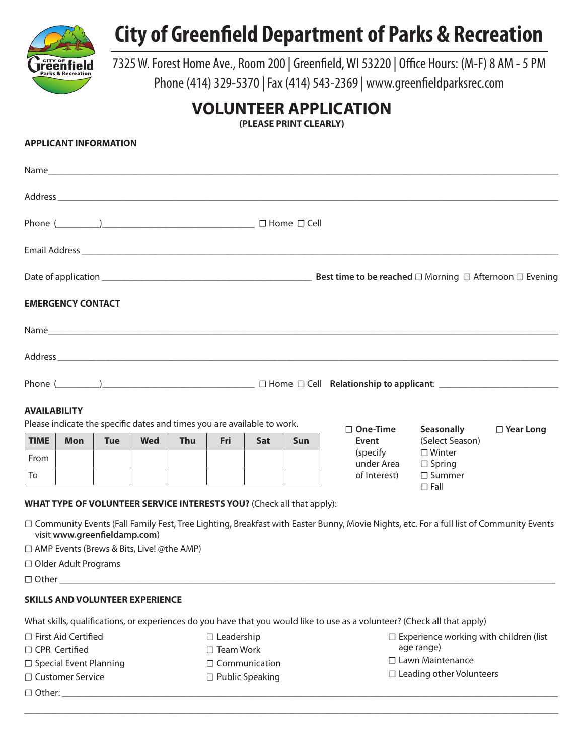

## **City of Greenfield Department of Parks & Recreation**

7325 W. Forest Home Ave., Room 200 | Greenfield, WI 53220 | Office Hours: (M-F) 8 AM - 5 PM Phone (414) 329-5370 | Fax (414) 543-2369 | www.greenfieldparksrec.com

## **VOLUNTEER APPLICATION**

**(PLEASE PRINT CLEARLY)**

## **APPLICANT INFORMATION**

|                                                  | <b>EMERGENCY CONTACT</b>        |                                                                             |            |            |     |            |                                                                       |  |                        |                                                                                                                                          |                  |  |
|--------------------------------------------------|---------------------------------|-----------------------------------------------------------------------------|------------|------------|-----|------------|-----------------------------------------------------------------------|--|------------------------|------------------------------------------------------------------------------------------------------------------------------------------|------------------|--|
|                                                  |                                 |                                                                             |            |            |     |            |                                                                       |  |                        |                                                                                                                                          |                  |  |
|                                                  |                                 |                                                                             |            |            |     |            |                                                                       |  |                        |                                                                                                                                          |                  |  |
|                                                  | Phone $(\_\_\_\_\_\_\_\_\_\_\_$ |                                                                             |            |            |     |            |                                                                       |  |                        |                                                                                                                                          |                  |  |
| <b>AVAILABILITY</b>                              |                                 | Please indicate the specific dates and times you are available to work.     |            |            |     |            |                                                                       |  | $\Box$ One-Time        | Seasonally                                                                                                                               | $\Box$ Year Long |  |
| <b>TIME</b>                                      | <b>Mon</b>                      | <b>Tue</b>                                                                  | <b>Wed</b> | <b>Thu</b> | Fri | <b>Sat</b> | <b>Sun</b>                                                            |  | Event                  | (Select Season)                                                                                                                          |                  |  |
| From                                             |                                 |                                                                             |            |            |     |            |                                                                       |  | (specify<br>under Area | $\Box$ Winter<br>$\Box$ Spring                                                                                                           |                  |  |
| To                                               |                                 |                                                                             |            |            |     |            |                                                                       |  | of Interest)           | $\Box$ Summer                                                                                                                            |                  |  |
|                                                  |                                 |                                                                             |            |            |     |            | WHAT TYPE OF VOLUNTEER SERVICE INTERESTS YOU? (Check all that apply): |  |                        | $\Box$ Fall                                                                                                                              |                  |  |
|                                                  |                                 | visit www.greenfieldamp.com)<br>□ AMP Events (Brews & Bits, Live! @the AMP) |            |            |     |            |                                                                       |  |                        | □ Community Events (Fall Family Fest, Tree Lighting, Breakfast with Easter Bunny, Movie Nights, etc. For a full list of Community Events |                  |  |
|                                                  | □ Older Adult Programs          |                                                                             |            |            |     |            |                                                                       |  |                        |                                                                                                                                          |                  |  |
|                                                  |                                 |                                                                             |            |            |     |            |                                                                       |  |                        |                                                                                                                                          |                  |  |
|                                                  |                                 | <b>SKILLS AND VOLUNTEER EXPERIENCE</b>                                      |            |            |     |            |                                                                       |  |                        |                                                                                                                                          |                  |  |
|                                                  |                                 |                                                                             |            |            |     |            |                                                                       |  |                        | What skills, qualifications, or experiences do you have that you would like to use as a volunteer? (Check all that apply)                |                  |  |
| □ First Aid Certified<br>$\Box$ Leadership       |                                 |                                                                             |            |            |     |            |                                                                       |  |                        | $\Box$ Experience working with children (list                                                                                            |                  |  |
| □ CPR Certified<br>$\square$ Team Work           |                                 |                                                                             |            |            |     |            |                                                                       |  |                        | age range)                                                                                                                               |                  |  |
| □ Special Event Planning<br>$\Box$ Communication |                                 |                                                                             |            |            |     |            |                                                                       |  |                        | □ Lawn Maintenance                                                                                                                       |                  |  |
| □ Customer Service<br>$\Box$ Public Speaking     |                                 |                                                                             |            |            |     |            | $\Box$ Leading other Volunteers                                       |  |                        |                                                                                                                                          |                  |  |
|                                                  |                                 |                                                                             |            |            |     |            |                                                                       |  |                        |                                                                                                                                          |                  |  |

\_\_\_\_\_\_\_\_\_\_\_\_\_\_\_\_\_\_\_\_\_\_\_\_\_\_\_\_\_\_\_\_\_\_\_\_\_\_\_\_\_\_\_\_\_\_\_\_\_\_\_\_\_\_\_\_\_\_\_\_\_\_\_\_\_\_\_\_\_\_\_\_\_\_\_\_\_\_\_\_\_\_\_\_\_\_\_\_\_\_\_\_\_\_\_\_\_\_\_\_\_\_\_\_\_\_\_\_\_\_\_\_